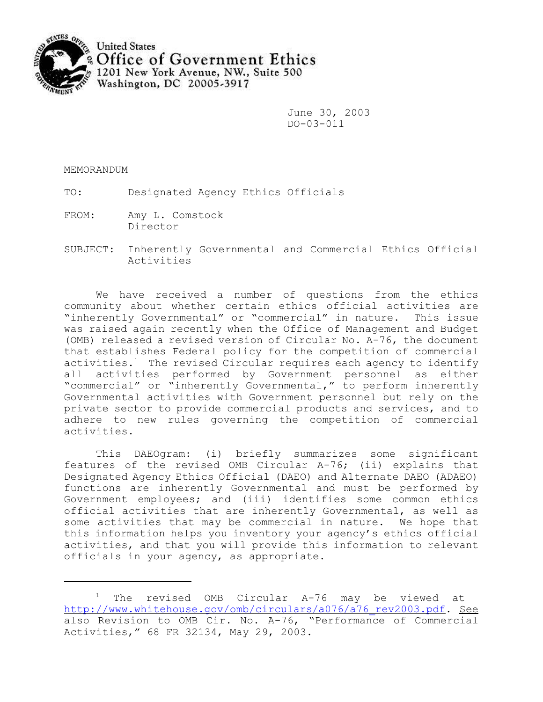

June 30, 2003 DO-03-011

MEMORANDUM

TO: Designated Agency Ethics Officials

- FROM: Amy L. Comstock Director
- SUBJECT: Inherently Governmental and Commercial Ethics Official Activities

We have received a number of questions from the ethics community about whether certain ethics official activities are "inherently Governmental" or "commercial" in nature. This issue was raised again recently when the Office of Management and Budget (OMB) released a revised version of Circular No. A-76, the document that establishes Federal policy for the competition of commercial activities.<sup>1</sup> The revised Circular requires each agency to identify all activities performed by Government personnel as either "commercial" or "inherently Governmental," to perform inherently Governmental activities with Government personnel but rely on the private sector to provide commercial products and services, and to adhere to new rules governing the competition of commercial activities.

This DAEOgram: (i) briefly summarizes some significant features of the revised OMB Circular A-76; (ii) explains that Designated Agency Ethics Official (DAEO) and Alternate DAEO (ADAEO) functions are inherently Governmental and must be performed by Government employees; and (iii) identifies some common ethics official activities that are inherently Governmental, as well as some activities that may be commercial in nature. We hope that this information helps you inventory your agency's ethics official activities, and that you will provide this information to relevant officials in your agency, as appropriate.

<sup>&</sup>lt;sup>1</sup> The revised OMB Circular A-76 may be viewed at http://www.whitehouse.gov/omb/circulars/a076/a76\_rev2003.pdf. See also Revision to OMB Cir. No. A-76, "Performance of Commercial Activities," 68 FR 32134, May 29, 2003.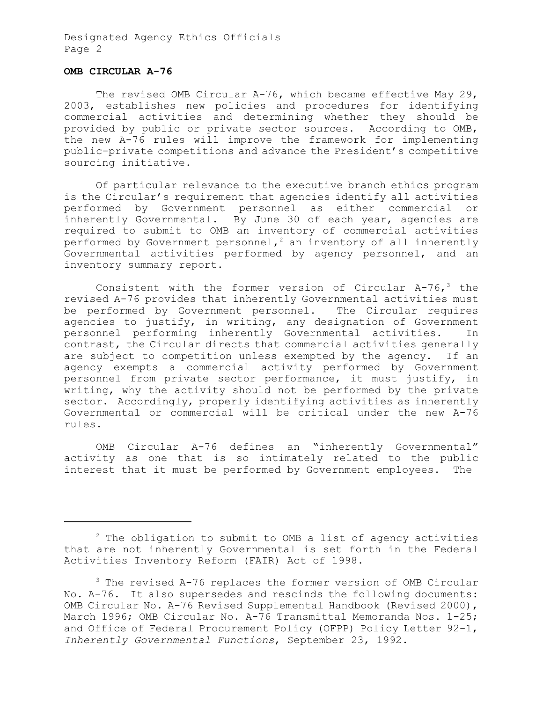Designated Agency Ethics Officials Page 2

### **OMB CIRCULAR A-76**

The revised OMB Circular A-76, which became effective May 29, 2003, establishes new policies and procedures for identifying commercial activities and determining whether they should be provided by public or private sector sources. According to OMB, the new A-76 rules will improve the framework for implementing public-private competitions and advance the President's competitive sourcing initiative.

Of particular relevance to the executive branch ethics program is the Circular's requirement that agencies identify all activities performed by Government personnel as either commercial or inherently Governmental. By June 30 of each year, agencies are required to submit to OMB an inventory of commercial activities performed by Government personnel,<sup>2</sup> an inventory of all inherently Governmental activities performed by agency personnel, and an inventory summary report.

Consistent with the former version of Circular  $A-76$ , the revised A-76 provides that inherently Governmental activities must be performed by Government personnel. The Circular requires agencies to justify, in writing, any designation of Government personnel performing inherently Governmental activities. In contrast, the Circular directs that commercial activities generally are subject to competition unless exempted by the agency. If an agency exempts a commercial activity performed by Government personnel from private sector performance, it must justify, in writing, why the activity should not be performed by the private sector. Accordingly, properly identifying activities as inherently Governmental or commercial will be critical under the new A-76 rules.

OMB Circular A-76 defines an "inherently Governmental" activity as one that is so intimately related to the public interest that it must be performed by Government employees. The

 $2$  The obligation to submit to OMB a list of agency activities that are not inherently Governmental is set forth in the Federal Activities Inventory Reform (FAIR) Act of 1998.

 $3$  The revised A-76 replaces the former version of OMB Circular No. A-76. It also supersedes and rescinds the following documents: OMB Circular No. A-76 Revised Supplemental Handbook (Revised 2000), March 1996; OMB Circular No. A-76 Transmittal Memoranda Nos. 1-25; and Office of Federal Procurement Policy (OFPP) Policy Letter 92-1, *Inherently Governmental Functions*, September 23, 1992.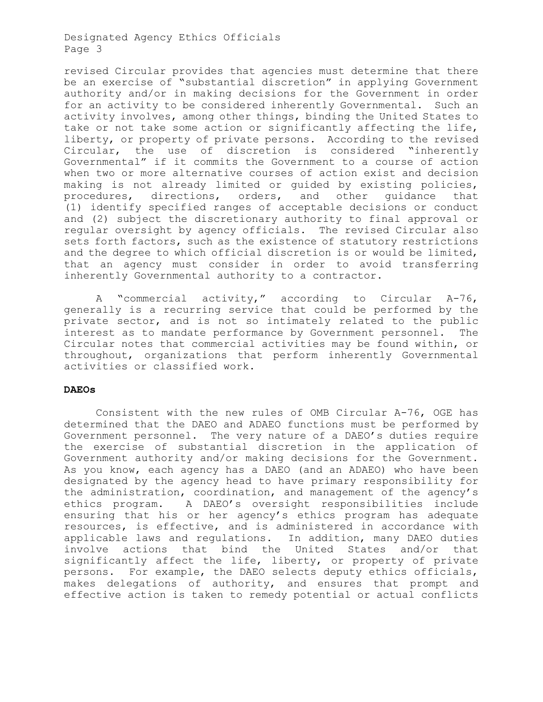# Designated Agency Ethics Officials Page 3

revised Circular provides that agencies must determine that there be an exercise of "substantial discretion" in applying Government authority and/or in making decisions for the Government in order for an activity to be considered inherently Governmental. Such an activity involves, among other things, binding the United States to take or not take some action or significantly affecting the life, liberty, or property of private persons. According to the revised Circular, the use of discretion is considered "inherently Governmental" if it commits the Government to a course of action when two or more alternative courses of action exist and decision making is not already limited or guided by existing policies, procedures, directions, orders, and other guidance that (1) identify specified ranges of acceptable decisions or conduct and (2) subject the discretionary authority to final approval or regular oversight by agency officials. The revised Circular also sets forth factors, such as the existence of statutory restrictions and the degree to which official discretion is or would be limited, that an agency must consider in order to avoid transferring inherently Governmental authority to a contractor.

A "commercial activity," according to Circular A-76, generally is a recurring service that could be performed by the private sector, and is not so intimately related to the public interest as to mandate performance by Government personnel. The Circular notes that commercial activities may be found within, or throughout, organizations that perform inherently Governmental activities or classified work.

### **DAEOs**

Consistent with the new rules of OMB Circular A-76, OGE has determined that the DAEO and ADAEO functions must be performed by Government personnel. The very nature of a DAEO's duties require the exercise of substantial discretion in the application of Government authority and/or making decisions for the Government. As you know, each agency has a DAEO (and an ADAEO) who have been designated by the agency head to have primary responsibility for the administration, coordination, and management of the agency's ethics program. A DAEO's oversight responsibilities include ensuring that his or her agency's ethics program has adequate resources, is effective, and is administered in accordance with applicable laws and regulations. In addition, many DAEO duties involve actions that bind the United States and/or that significantly affect the life, liberty, or property of private persons. For example, the DAEO selects deputy ethics officials, makes delegations of authority, and ensures that prompt and effective action is taken to remedy potential or actual conflicts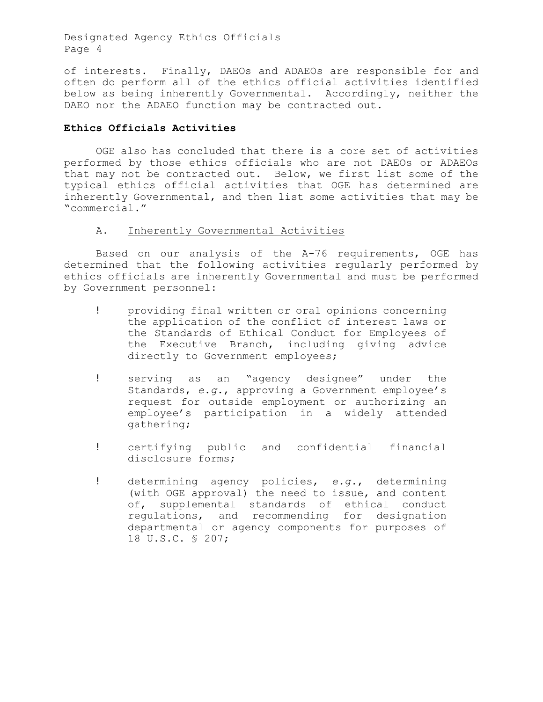Designated Agency Ethics Officials Page 4

of interests. Finally, DAEOs and ADAEOs are responsible for and often do perform all of the ethics official activities identified below as being inherently Governmental. Accordingly, neither the DAEO nor the ADAEO function may be contracted out.

### **Ethics Officials Activities**

OGE also has concluded that there is a core set of activities performed by those ethics officials who are not DAEOs or ADAEOs that may not be contracted out. Below, we first list some of the typical ethics official activities that OGE has determined are inherently Governmental, and then list some activities that may be "commercial."

# A. Inherently Governmental Activities

Based on our analysis of the A-76 requirements, OGE has determined that the following activities regularly performed by ethics officials are inherently Governmental and must be performed by Government personnel:

- ! providing final written or oral opinions concerning the application of the conflict of interest laws or the Standards of Ethical Conduct for Employees of the Executive Branch, including giving advice directly to Government employees;
- ! serving as an "agency designee" under the Standards, *e.g.*, approving a Government employee's request for outside employment or authorizing an employee's participation in a widely attended gathering;
- ! certifying public and confidential financial disclosure forms;
- ! determining agency policies, *e.g.*, determining (with OGE approval) the need to issue, and content of, supplemental standards of ethical conduct regulations, and recommending for designation departmental or agency components for purposes of 18 U.S.C. § 207;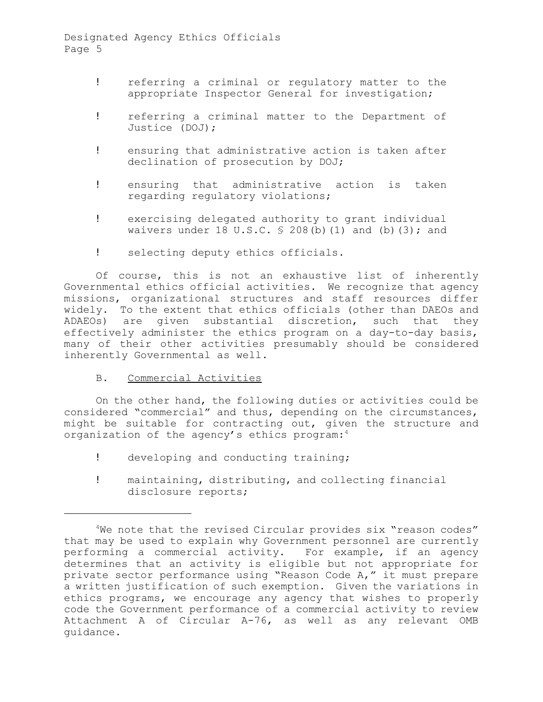- ! referring a criminal or regulatory matter to the appropriate Inspector General for investigation;
- ! referring a criminal matter to the Department of Justice (DOJ);
- ! ensuring that administrative action is taken after declination of prosecution by DOJ;
- ! ensuring that administrative action is taken regarding regulatory violations;
- ! exercising delegated authority to grant individual waivers under 18 U.S.C.  $\frac{6}{5}$  208(b)(1) and (b)(3); and
- ! selecting deputy ethics officials.

 effectively administer the ethics program on a day-to-day basis, Of course, this is not an exhaustive list of inherently Governmental ethics official activities. We recognize that agency missions, organizational structures and staff resources differ widely. To the extent that ethics officials (other than DAEOs and ADAEOs) are given substantial discretion, such that they many of their other activities presumably should be considered inherently Governmental as well.

B. Commercial Activities

On the other hand, the following duties or activities could be considered "commercial" and thus, depending on the circumstances, might be suitable for contracting out, given the structure and organization of the agency's ethics program:<sup>4</sup>

- ! developing and conducting training;
- ! maintaining, distributing, and collecting financial disclosure reports;

<sup>&</sup>lt;sup>4</sup>We note that the revised Circular provides six "reason codes" that may be used to explain why Government personnel are currently performing a commercial activity. For example, if an agency determines that an activity is eligible but not appropriate for private sector performance using "Reason Code A," it must prepare a written justification of such exemption. Given the variations in ethics programs, we encourage any agency that wishes to properly code the Government performance of a commercial activity to review Attachment A of Circular A-76, as well as any relevant OMB guidance.